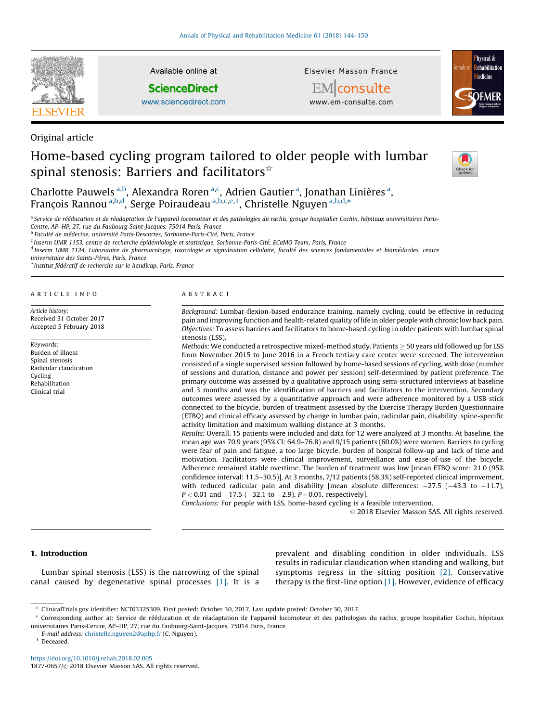

Original article

Available online at

**ScienceDirect** 

[www.sciencedirect.com](http://www.sciencedirect.com/science/journal/18770657)

Elsevier Masson France



**EM** consulte www.em-consulte.com

# Home-based cycling program tailored to older people with lumbar spinal stenosis: Barriers and facilitators $\hat{z}$



Charlotte Pauwels <sup>a,b</sup>, Alexandra Roren <sup>a,c</sup>, Adrien Gautier <sup>a</sup>, Jonathan Linières <sup>a</sup>, François Rannou<sup>a,b,d</sup>, Serge Poiraudeau<sup>a,b,c,e,1</sup>, Christelle Nguyen<sup>a,b,d,\*</sup>

<sup>a</sup> Service de rééducation et de réadaptation de l'appareil locomoteur et des pathologies du rachis, groupe hospitalier Cochin, hôpitaux universitaires Paris-Centre, AP–HP, 27, rue du Faubourg-Saint-Jacques, 75014 Paris, France

<sup>b</sup> Faculté de médecine, université Paris-Descartes, Sorbonne-Paris-Cité, Paris, France

<sup>c</sup> Inserm UMR 1153, centre de recherche épidémiologie et statistique, Sorbonne-Paris-Cité, ECaMO Team, Paris, France

<sup>d</sup> Inserm UMR 1124, Laboratoire de pharmacologie, toxicologie et signalisation cellulaire, faculté des sciences fondamentales et biomédicales, centre

universitaire des Saints-Pères, Paris, France

<sup>e</sup> Institut fédératif de recherche sur le handicap, Paris, France

#### A R T I C L E I N F O

Article history: Received 31 October 2017 Accepted 5 February 2018

Keywords: Burden of illness Spinal stenosis Radicular claudication Cycling Rehabilitation Clinical trial

#### A B S T R A C T

Background: Lumbar-flexion-based endurance training, namely cycling, could be effective in reducing pain and improving function and health-related quality of life in older people with chronic low back pain. Objectives: To assess barriers and facilitators to home-based cycling in older patients with lumbar spinal stenosis (LSS).

Methods: We conducted a retrospective mixed-method study. Patients  $\geq$  50 years old followed up for LSS from November 2015 to June 2016 in a French tertiary care center were screened. The intervention consisted of a single supervised session followed by home-based sessions of cycling, with dose (number of sessions and duration, distance and power per session) self-determined by patient preference. The primary outcome was assessed by a qualitative approach using semi-structured interviews at baseline and 3 months and was the identification of barriers and facilitators to the intervention. Secondary outcomes were assessed by a quantitative approach and were adherence monitored by a USB stick connected to the bicycle, burden of treatment assessed by the Exercise Therapy Burden Questionnaire (ETBQ) and clinical efficacy assessed by change in lumbar pain, radicular pain, disability, spine-specific activity limitation and maximum walking distance at 3 months.

Results: Overall, 15 patients were included and data for 12 were analyzed at 3 months. At baseline, the mean age was 70.9 years (95% CI: 64.9–76.8) and 9/15 patients (60.0%) were women. Barriers to cycling were fear of pain and fatigue, a too large bicycle, burden of hospital follow-up and lack of time and motivation. Facilitators were clinical improvement, surveillance and ease-of-use of the bicycle. Adherence remained stable overtime. The burden of treatment was low [mean ETBQ score: 21.0 (95% confidence interval: 11.5–30.5)]. At 3 months, 7/12 patients (58.3%) self-reported clinical improvement, with reduced radicular pain and disability [mean absolute differences:  $-27.5$  ( $-43.3$  to  $-11.7$ ),  $P < 0.01$  and  $-17.5$  ( $-32.1$  to  $-2.9$ ),  $P = 0.01$ , respectively].

Conclusions: For people with LSS, home-based cycling is a feasible intervention.

 $©$  2018 Elsevier Masson SAS. All rights reserved.

# 1. Introduction

Lumbar spinal stenosis (LSS) is the narrowing of the spinal canal caused by degenerative spinal processes [\[1\]](#page-6-0). It is a prevalent and disabling condition in older individuals. LSS results in radicular claudication when standing and walking, but symptoms regress in the sitting position [\[2\]](#page-6-0). Conservative therapy is the first-line option  $[1]$ . However, evidence of efficacy

 $1$  Deceased.

<https://doi.org/10.1016/j.rehab.2018.02.005> 1877-0657/© 2018 Elsevier Masson SAS. All rights reserved.

 $*$  ClinicalTrials.gov identifier: NCT03325309. First posted: October 30, 2017. Last update posted: October 30, 2017.

<sup>\*</sup> Corresponding author at: Service de rééducation et de réadaptation de l'appareil locomoteur et des pathologies du rachis, groupe hospitalier Cochin, hôpitaux universitaires Paris-Centre, AP–HP, 27, rue du Faubourg-Saint-Jacques, 75014 Paris, France.

E-mail address: [christelle.nguyen2@aphp.fr](mailto:christelle.nguyen2@aphp.fr) (C. Nguyen).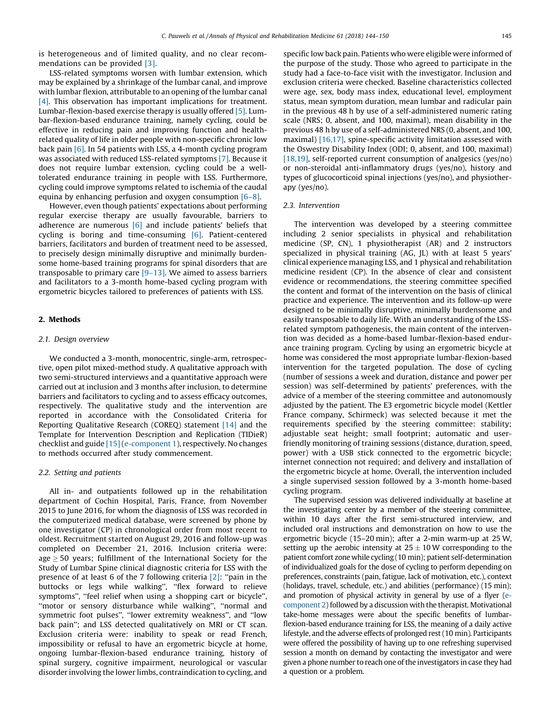is heterogeneous and of limited quality, and no clear recommendations can be provided [\[3\].](#page-6-0)

LSS-related symptoms worsen with lumbar extension, which may be explained by a shrinkage of the lumbar canal, and improve with lumbar flexion, attributable to an opening of the lumbar canal [\[4\]](#page-6-0). This observation has important implications for treatment. Lumbar-flexion-based exercise therapy is usually offered [\[5\].](#page-6-0) Lumbar-flexion-based endurance training, namely cycling, could be effective in reducing pain and improving function and healthrelated quality of life in older people with non-specific chronic low back pain [\[6\]](#page-6-0). In 54 patients with LSS, a 4-month cycling program was associated with reduced LSS-related symptoms [\[7\]](#page-6-0). Because it does not require lumbar extension, cycling could be a welltolerated endurance training in people with LSS. Furthermore, cycling could improve symptoms related to ischemia of the caudal equina by enhancing perfusion and oxygen consumption  $[6-8]$ .

However, even though patients' expectations about performing regular exercise therapy are usually favourable, barriers to adherence are numerous  $[6]$  and include patients' beliefs that cycling is boring and time-consuming [\[6\]](#page-6-0). Patient-centered barriers, facilitators and burden of treatment need to be assessed, to precisely design minimally disruptive and minimally burdensome home-based training programs for spinal disorders that are transposable to primary care  $[9-13]$ . We aimed to assess barriers and facilitators to a 3-month home-based cycling program with ergometric bicycles tailored to preferences of patients with LSS.

# 2. Methods

#### 2.1. Design overview

We conducted a 3-month, monocentric, single-arm, retrospective, open pilot mixed-method study. A qualitative approach with two semi-structured interviews and a quantitative approach were carried out at inclusion and 3 months after inclusion, to determine barriers and facilitators to cycling and to assess efficacy outcomes, respectively. The qualitative study and the intervention are reported in accordance with the Consolidated Criteria for Reporting Qualitative Research (COREQ) statement [\[14\]](#page-6-0) and the Template for Intervention Description and Replication (TIDieR) checklist and guide [\[15\]](#page-6-0) ([e-component](#page-6-0) 1), respectively. No changes to methods occurred after study commencement.

#### 2.2. Setting and patients

All in- and outpatients followed up in the rehabilitation department of Cochin Hospital, Paris, France, from November 2015 to June 2016, for whom the diagnosis of LSS was recorded in the computerized medical database, were screened by phone by one investigator (CP) in chronological order from most recent to oldest. Recruitment started on August 29, 2016 and follow-up was completed on December 21, 2016. Inclusion criteria were: age  $\geq$  50 years; fulfillment of the International Society for the Study of Lumbar Spine clinical diagnostic criteria for LSS with the presence of at least 6 of the 7 following criteria [\[2\]:](#page-6-0) "pain in the buttocks or legs while walking'', ''flex forward to relieve symptoms", "feel relief when using a shopping cart or bicycle", ''motor or sensory disturbance while walking'', ''normal and symmetric foot pulses'', ''lower extremity weakness'', and ''low back pain''; and LSS detected qualitatively on MRI or CT scan. Exclusion criteria were: inability to speak or read French, impossibility or refusal to have an ergometric bicycle at home, ongoing lumbar-flexion-based endurance training, history of spinal surgery, cognitive impairment, neurological or vascular disorder involving the lower limbs, contraindication to cycling, and

specific low back pain. Patients who were eligible were informed of the purpose of the study. Those who agreed to participate in the study had a face-to-face visit with the investigator. Inclusion and exclusion criteria were checked. Baseline characteristics collected were age, sex, body mass index, educational level, employment status, mean symptom duration, mean lumbar and radicular pain in the previous 48 h by use of a self-administered numeric rating scale (NRS; 0, absent, and 100, maximal), mean disability in the previous 48 h by use of a self-administered NRS (0, absent, and 100, maximal) [\[16,17\]](#page-6-0), spine-specific activity limitation assessed with the Oswestry Disability Index (ODI; 0, absent, and 100, maximal) [\[18,19\],](#page-6-0) self-reported current consumption of analgesics (yes/no) or non-steroidal anti-inflammatory drugs (yes/no), history and types of glucocorticoid spinal injections (yes/no), and physiotherapy (yes/no).

#### 2.3. Intervention

The intervention was developed by a steering committee including 2 senior specialists in physical and rehabilitation medicine (SP, CN), 1 physiotherapist (AR) and 2 instructors specialized in physical training (AG, JL) with at least 5 years' clinical experience managing LSS, and 1 physical and rehabilitation medicine resident (CP). In the absence of clear and consistent evidence or recommendations, the steering committee specified the content and format of the intervention on the basis of clinical practice and experience. The intervention and its follow-up were designed to be minimally disruptive, minimally burdensome and easily transposable to daily life. With an understanding of the LSSrelated symptom pathogenesis, the main content of the intervention was decided as a home-based lumbar-flexion-based endurance training program. Cycling by using an ergometric bicycle at home was considered the most appropriate lumbar-flexion-based intervention for the targeted population. The dose of cycling (number of sessions a week and duration, distance and power per session) was self-determined by patients' preferences, with the advice of a member of the steering committee and autonomously adjusted by the patient. The E3 ergometric bicycle model (Kettler France company, Schirmeck) was selected because it met the requirements specified by the steering committee: stability; adjustable seat height; small footprint; automatic and userfriendly monitoring of training sessions (distance, duration, speed, power) with a USB stick connected to the ergometric bicycle; internet connection not required; and delivery and installation of the ergometric bicycle at home. Overall, the intervention included a single supervised session followed by a 3-month home-based cycling program.

The supervised session was delivered individually at baseline at the investigating center by a member of the steering committee, within 10 days after the first semi-structured interview, and included oral instructions and demonstration on how to use the ergometric bicycle (15–20 min); after a 2-min warm-up at 25 W, setting up the aerobic intensity at  $25 \pm 10$  W corresponding to the patient comfort zone while cycling (10 min); patient self-determination of individualized goals for the dose of cycling to perform depending on preferences, constraints (pain, fatigue, lack of motivation, etc.), context (holidays, travel, schedule, etc.) and abilities (performance) (15 min); and promotion of physical activity in general by use of a flyer [\(e](#page-6-0)[component](#page-6-0) 2) followed by a discussion with the therapist. Motivational take-home messages were about the specific benefits of lumbarflexion-based endurance training for LSS, the meaning of a daily active lifestyle, and the adverse effects of prolonged rest(10 min). Participants were offered the possibility of having up to one refreshing supervised session a month on demand by contacting the investigator and were given a phone number to reach one of the investigators in case they had a question or a problem.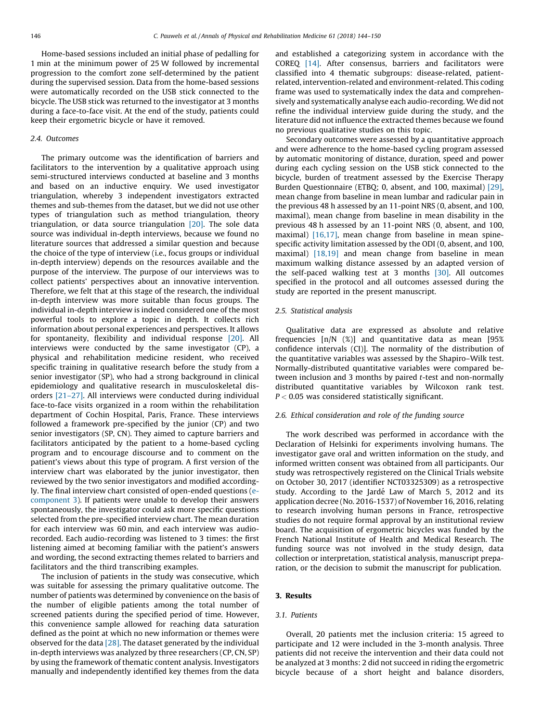Home-based sessions included an initial phase of pedalling for 1 min at the minimum power of 25 W followed by incremental progression to the comfort zone self-determined by the patient during the supervised session. Data from the home-based sessions were automatically recorded on the USB stick connected to the bicycle. The USB stick was returned to the investigator at 3 months during a face-to-face visit. At the end of the study, patients could keep their ergometric bicycle or have it removed.

#### 2.4. Outcomes

The primary outcome was the identification of barriers and facilitators to the intervention by a qualitative approach using semi-structured interviews conducted at baseline and 3 months and based on an inductive enquiry. We used investigator triangulation, whereby 3 independent investigators extracted themes and sub-themes from the dataset, but we did not use other types of triangulation such as method triangulation, theory triangulation, or data source triangulation [\[20\]](#page-6-0). The sole data source was individual in-depth interviews, because we found no literature sources that addressed a similar question and because the choice of the type of interview (i.e., focus groups or individual in-depth interview) depends on the resources available and the purpose of the interview. The purpose of our interviews was to collect patients' perspectives about an innovative intervention. Therefore, we felt that at this stage of the research, the individual in-depth interview was more suitable than focus groups. The individual in-depth interview is indeed considered one of the most powerful tools to explore a topic in depth. It collects rich information about personal experiences and perspectives. It allows for spontaneity, flexibility and individual response [\[20\]](#page-6-0). All interviews were conducted by the same investigator (CP), a physical and rehabilitation medicine resident, who received specific training in qualitative research before the study from a senior investigator (SP), who had a strong background in clinical epidemiology and qualitative research in musculoskeletal disorders [\[21–27\]](#page-6-0). All interviews were conducted during individual face-to-face visits organized in a room within the rehabilitation department of Cochin Hospital, Paris, France. These interviews followed a framework pre-specified by the junior (CP) and two senior investigators (SP, CN). They aimed to capture barriers and facilitators anticipated by the patient to a home-based cycling program and to encourage discourse and to comment on the patient's views about this type of program. A first version of the interview chart was elaborated by the junior investigator, then reviewed by the two senior investigators and modified accordingly. The final interview chart consisted of open-ended questions [\(e](#page-6-0)[component](#page-6-0) 3). If patients were unable to develop their answers spontaneously, the investigator could ask more specific questions selected from the pre-specified interview chart. The mean duration for each interview was 60 min, and each interview was audiorecorded. Each audio-recording was listened to 3 times: the first listening aimed at becoming familiar with the patient's answers and wording, the second extracting themes related to barriers and facilitators and the third transcribing examples.

The inclusion of patients in the study was consecutive, which was suitable for assessing the primary qualitative outcome. The number of patients was determined by convenience on the basis of the number of eligible patients among the total number of screened patients during the specified period of time. However, this convenience sample allowed for reaching data saturation defined as the point at which no new information or themes were observed for the data [\[28\]](#page-6-0). The dataset generated by the individual in-depth interviews was analyzed by three researchers (CP, CN, SP) by using the framework of thematic content analysis. Investigators manually and independently identified key themes from the data

and established a categorizing system in accordance with the COREQ [\[14\]](#page-6-0). After consensus, barriers and facilitators were classified into 4 thematic subgroups: disease-related, patientrelated, intervention-related and environment-related. This coding frame was used to systematically index the data and comprehensively and systematically analyse each audio-recording. We did not refine the individual interview guide during the study, and the literature did not influence the extracted themes because we found no previous qualitative studies on this topic.

Secondary outcomes were assessed by a quantitative approach and were adherence to the home-based cycling program assessed by automatic monitoring of distance, duration, speed and power during each cycling session on the USB stick connected to the bicycle, burden of treatment assessed by the Exercise Therapy Burden Questionnaire (ETBQ; 0, absent, and 100, maximal) [\[29\],](#page-6-0) mean change from baseline in mean lumbar and radicular pain in the previous 48 h assessed by an 11-point NRS (0, absent, and 100, maximal), mean change from baseline in mean disability in the previous 48 h assessed by an 11-point NRS (0, absent, and 100, maximal) [\[16,17\],](#page-6-0) mean change from baseline in mean spinespecific activity limitation assessed by the ODI (0, absent, and 100, maximal) [\[18,19\]](#page-6-0) and mean change from baseline in mean maximum walking distance assessed by an adapted version of the self-paced walking test at 3 months [\[30\].](#page-6-0) All outcomes specified in the protocol and all outcomes assessed during the study are reported in the present manuscript.

## 2.5. Statistical analysis

Qualitative data are expressed as absolute and relative frequencies [n/N (%)] and quantitative data as mean [95% confidence intervals (CI)]. The normality of the distribution of the quantitative variables was assessed by the Shapiro–Wilk test. Normally-distributed quantitative variables were compared between inclusion and 3 months by paired t-test and non-normally distributed quantitative variables by Wilcoxon rank test.  $P < 0.05$  was considered statistically significant.

#### 2.6. Ethical consideration and role of the funding source

The work described was performed in accordance with the Declaration of Helsinki for experiments involving humans. The investigator gave oral and written information on the study, and informed written consent was obtained from all participants. Our study was retrospectively registered on the Clinical Trials website on October 30, 2017 (identifier NCT03325309) as a retrospective study. According to the Jardé Law of March 5, 2012 and its application decree (No. 2016-1537) of November 16, 2016, relating to research involving human persons in France, retrospective studies do not require formal approval by an institutional review board. The acquisition of ergometric bicycles was funded by the French National Institute of Health and Medical Research. The funding source was not involved in the study design, data collection or interpretation, statistical analysis, manuscript preparation, or the decision to submit the manuscript for publication.

#### 3. Results

#### 3.1. Patients

Overall, 20 patients met the inclusion criteria: 15 agreed to participate and 12 were included in the 3-month analysis. Three patients did not receive the intervention and their data could not be analyzed at 3 months: 2 did not succeed in riding the ergometric bicycle because of a short height and balance disorders,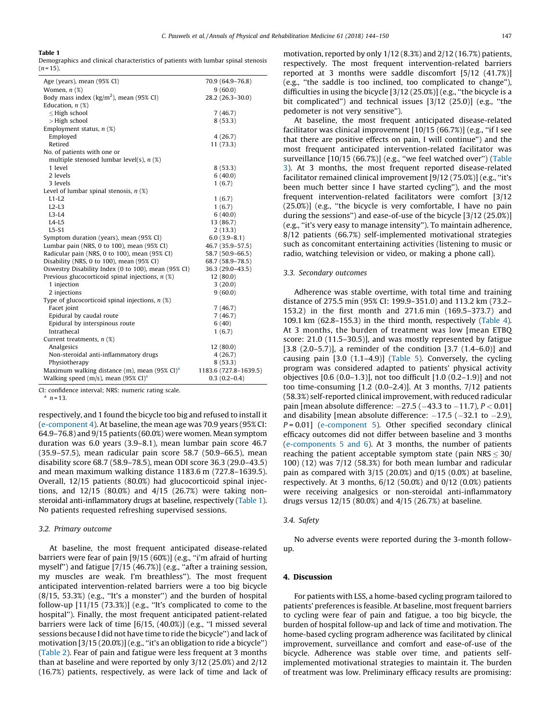#### Table 1

Demographics and clinical characteristics of patients with lumbar spinal stenosis  $(n = 15)$ .

| Age (years), mean (95% CI)                               | 70.9 (64.9-76.8)      |
|----------------------------------------------------------|-----------------------|
| Women, $n$ $(\%)$                                        | 9(60.0)               |
| Body mass index ( $\text{kg/m}^2$ ), mean (95% CI)       | 28.2 (26.3-30.0)      |
| Education, $n$ (%)                                       |                       |
| $\leq$ High school                                       | 7(46.7)               |
| $>$ High school                                          | 8(53.3)               |
| Employment status, $n$ (%)                               |                       |
| Employed                                                 | 4(26.7)               |
| Retired                                                  | 11 (73.3)             |
| No. of patients with one or                              |                       |
| multiple stenosed lumbar level(s), $n$ (%)               |                       |
| 1 level                                                  | 8(53.3)               |
| 2 levels                                                 | 6(40.0)               |
| 3 levels                                                 | 1(6.7)                |
| Level of lumbar spinal stenosis, $n$ (%)                 |                       |
| $L1-L2$                                                  | 1(6.7)                |
| $L2-L3$                                                  | 1(6.7)                |
| $L3-L4$                                                  | 6(40.0)               |
| $L4-L5$                                                  | 13 (86.7)             |
| $L5-S1$                                                  | 2(13.3)               |
| Symptom duration (years), mean (95% CI)                  | $6.0(3.9-8.1)$        |
| Lumbar pain (NRS, 0 to 100), mean (95% CI)               | 46.7 (35.9-57.5)      |
| Radicular pain (NRS, 0 to 100), mean (95% CI)            | 58.7 (50.9-66.5)      |
| Disability (NRS, 0 to 100), mean (95% CI)                | 68.7 (58.9-78.5)      |
| Oswestry Disability Index (0 to 100), mean (95% CI)      | 36.3 (29.0-43.5)      |
| Previous glucocorticoid spinal injections, $n$ (%)       | 12(80.0)              |
| 1 injection                                              | 3(20.0)               |
| 2 injections                                             | 9(60.0)               |
| Type of glucocorticoid spinal injections, $n$ (%)        |                       |
| Facet joint                                              | 7(46.7)               |
| Epidural by caudal route                                 | 7(46.7)               |
| Epidural by interspinous route                           | 6(40)                 |
| Intrathecal                                              | 1(6.7)                |
| Current treatments, $n$ (%)                              |                       |
| Analgesics                                               | 12 (80.0)             |
| Non-steroidal anti-inflammatory drugs                    | 4(26.7)               |
| Physiotherapy                                            | 8(53.3)               |
| Maximum walking distance (m), mean $(95\% \text{ CI})^3$ | 1183.6 (727.8-1639.5) |
| Walking speed (m/s), mean (95% CI) <sup>a</sup>          | $0.3(0.2-0.4)$        |
|                                                          |                       |

CI: confidence interval; NRS: numeric rating scale.

 $n = 13$ 

respectively, and 1 found the bicycle too big and refused to install it ([e-component](#page-6-0) 4). At baseline, the mean age was 70.9 years (95% CI: 64.9–76.8) and 9/15 patients (60.0%) were women. Mean symptom duration was 6.0 years (3.9–8.1), mean lumbar pain score 46.7 (35.9–57.5), mean radicular pain score 58.7 (50.9–66.5), mean disability score 68.7 (58.9–78.5), mean ODI score 36.3 (29.0–43.5) and mean maximum walking distance 1183.6 m (727.8–1639.5). Overall, 12/15 patients (80.0%) had glucocorticoid spinal injections, and 12/15 (80.0%) and 4/15 (26.7%) were taking nonsteroidal anti-inflammatory drugs at baseline, respectively (Table 1). No patients requested refreshing supervised sessions.

# 3.2. Primary outcome

At baseline, the most frequent anticipated disease-related barriers were fear of pain [9/15 (60%)] (e.g., "i'm afraid of hurting myself") and fatigue [7/15 (46.7%)] (e.g., "after a training session, my muscles are weak. I'm breathless''). The most frequent anticipated intervention-related barriers were a too big bicycle  $(8/15, 53.3%)$  (e.g., "It's a monster") and the burden of hospital follow-up  $[11/15 (73.3%)]$  (e.g., "It's complicated to come to the hospital''). Finally, the most frequent anticipated patient-related barriers were lack of time [6/15, (40.0%)] (e.g., "I missed several sessions because I did not have time to ride the bicycle'') and lack of motivation [3/15 (20.0%)] (e.g., ''it's an obligation to ride a bicycle'') ([Table](#page-4-0) 2). Fear of pain and fatigue were less frequent at 3 months than at baseline and were reported by only 3/12 (25.0%) and 2/12 (16.7%) patients, respectively, as were lack of time and lack of motivation, reported by only 1/12 (8.3%) and 2/12 (16.7%) patients, respectively. The most frequent intervention-related barriers reported at 3 months were saddle discomfort [5/12 (41.7%)] (e.g., ''the saddle is too inclined, too complicated to change''), difficulties in using the bicycle [3/12 (25.0%)] (e.g., ''the bicycle is a bit complicated'') and technical issues [3/12 (25.0)] (e.g., ''the pedometer is not very sensitive'').

At baseline, the most frequent anticipated disease-related facilitator was clinical improvement [10/15 (66.7%)] (e.g., ''if I see that there are positive effects on pain, I will continue'') and the most frequent anticipated intervention-related facilitator was surveillance [10/15 (66.7%)] (e.g., ''we feel watched over'') ([Table](#page-4-0) [3](#page-4-0)). At 3 months, the most frequent reported disease-related facilitator remained clinical improvement [9/12 (75.0%)] (e.g., ''it's been much better since I have started cycling''), and the most frequent intervention-related facilitators were comfort [3/12 (25.0%)] (e.g., ''the bicycle is very comfortable, I have no pain during the sessions'') and ease-of-use of the bicycle [3/12 (25.0%)] (e.g., ''it's very easy to manage intensity''). To maintain adherence, 8/12 patients (66.7%) self-implemented motivational strategies such as concomitant entertaining activities (listening to music or radio, watching television or video, or making a phone call).

#### 3.3. Secondary outcomes

Adherence was stable overtime, with total time and training distance of 275.5 min (95% CI: 199.9–351.0) and 113.2 km (73.2– 153.2) in the first month and 271.6 min (169.5–373.7) and 109.1 km (62.8–155.3) in the third month, respectively ([Table](#page-5-0) 4). At 3 months, the burden of treatment was low [mean ETBQ score: 21.0 (11.5–30.5)], and was mostly represented by fatigue [3.8 (2.0–5.7)], a reminder of the condition [3.7 (1.4–6.0)] and causing pain [3.0 (1.1–4.9)] ([Table](#page-5-0) 5). Conversely, the cycling program was considered adapted to patients' physical activity objectives  $[0.6 (0.0-1.3)]$ , not too difficult  $[1.0 (0.2-1.9)]$  and not too time-consuming [1.2 (0.0–2.4)]. At 3 months, 7/12 patients (58.3%) self-reported clinical improvement, with reduced radicular pain [mean absolute difference:  $-27.5$  ( $-43.3$  to  $-11.7$ ),  $P < 0.01$ ] and disability [mean absolute difference:  $-17.5$  ( $-32.1$  to  $-2.9$ ),  $P = 0.01$ ] ([e-component](#page-6-0) 5). Other specified secondary clinical efficacy outcomes did not differ between baseline and 3 months ([e-components](#page-6-0) 5 and 6). At 3 months, the number of patients reaching the patient acceptable symptom state (pain  $NRS \leq 30/$ 100) (12) was 7/12 (58.3%) for both mean lumbar and radicular pain as compared with  $3/15$  (20.0%) and  $0/15$  (0.0%) at baseline, respectively. At 3 months, 6/12 (50.0%) and 0/12 (0.0%) patients were receiving analgesics or non-steroidal anti-inflammatory drugs versus 12/15 (80.0%) and 4/15 (26.7%) at baseline.

# 3.4. Safety

No adverse events were reported during the 3-month followup.

# 4. Discussion

For patients with LSS, a home-based cycling program tailored to patients' preferences is feasible. At baseline, most frequent barriers to cycling were fear of pain and fatigue, a too big bicycle, the burden of hospital follow-up and lack of time and motivation. The home-based cycling program adherence was facilitated by clinical improvement, surveillance and comfort and ease-of-use of the bicycle. Adherence was stable over time, and patients selfimplemented motivational strategies to maintain it. The burden of treatment was low. Preliminary efficacy results are promising: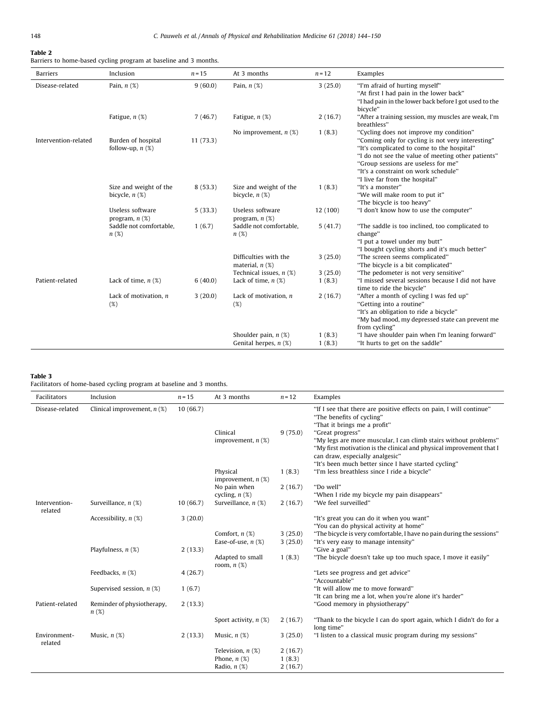# <span id="page-4-0"></span>Table 2

Barriers to home-based cycling program at baseline and 3 months.

| Barriers             | Inclusion                                     | $n = 15$ | At 3 months                                             | $n = 12$          | Examples                                                                                                                                                                                                                                                                                                          |
|----------------------|-----------------------------------------------|----------|---------------------------------------------------------|-------------------|-------------------------------------------------------------------------------------------------------------------------------------------------------------------------------------------------------------------------------------------------------------------------------------------------------------------|
| Disease-related      | Pain, $n$ $(\%)$                              | 9(60.0)  | Pain, $n$ $(\%)$                                        | 3(25.0)           | "I'm afraid of hurting myself"<br>"At first I had pain in the lower back"<br>"I had pain in the lower back before I got used to the<br>bicycle"                                                                                                                                                                   |
|                      | Fatigue, $n$ $(\%)$                           | 7(46.7)  | Fatigue, $n$ $(\%)$                                     | 2(16.7)           | "After a training session, my muscles are weak, I'm<br>breathless"                                                                                                                                                                                                                                                |
| Intervention-related | Burden of hospital<br>follow-up, $n$ $(\%)$   | 11(73.3) | No improvement, $n$ (%)                                 | 1(8.3)            | "Cycling does not improve my condition"<br>"Coming only for cycling is not very interesting"<br>"It's complicated to come to the hospital"<br>"I do not see the value of meeting other patients"<br>"Group sessions are useless for me"<br>"It's a constraint on work schedule"<br>"I live far from the hospital" |
|                      | Size and weight of the<br>bicycle, $n$ $(\%)$ | 8(53.3)  | Size and weight of the<br>bicycle, $n$ $(\%)$           | 1(8.3)            | "It's a monster"<br>"We will make room to put it"<br>"The bicycle is too heavy"                                                                                                                                                                                                                                   |
|                      | Useless software<br>program, $n$ $(\%)$       | 5(33.3)  | Useless software<br>program, $n$ $(\%)$                 | 12 (100)          | "I don't know how to use the computer"                                                                                                                                                                                                                                                                            |
|                      | Saddle not comfortable.<br>n(%)               | 1(6.7)   | Saddle not comfortable.<br>n(%)                         | 5(41.7)           | "The saddle is too inclined, too complicated to<br>change"<br>"I put a towel under my butt"<br>"I bought cycling shorts and it's much better"                                                                                                                                                                     |
|                      |                                               |          | Difficulties with the<br>material, $n$ $(\%)$           | 3(25.0)           | "The screen seems complicated"<br>"The bicycle is a bit complicated"                                                                                                                                                                                                                                              |
| Patient-related      | Lack of time, $n$ (%)                         | 6(40.0)  | Technical issues, $n$ (%)<br>Lack of time, $n$ $(\%)$   | 3(25.0)<br>1(8.3) | "The pedometer is not very sensitive"<br>"I missed several sessions because I did not have<br>time to ride the bicycle"                                                                                                                                                                                           |
|                      | Lack of motivation, $n$<br>$(\%)$             | 3(20.0)  | Lack of motivation, $n$<br>(%)                          | 2(16.7)           | "After a month of cycling I was fed up"<br>"Getting into a routine"<br>"It's an obligation to ride a bicycle"<br>"My bad mood, my depressed state can prevent me<br>from cycling"                                                                                                                                 |
|                      |                                               |          | Shoulder pain, $n$ $(\%)$<br>Genital herpes, $n$ $(\%)$ | 1(8.3)<br>1(8.3)  | "I have shoulder pain when I'm leaning forward"<br>"It hurts to get on the saddle"                                                                                                                                                                                                                                |

# Table 3

Facilitators of home-based cycling program at baseline and 3 months.

| Facilitators             | Inclusion                          | $n = 15$ | At 3 months                                                      | $n = 12$                     | Examples                                                                                                                                                                                                                                                                                                                                                                                    |
|--------------------------|------------------------------------|----------|------------------------------------------------------------------|------------------------------|---------------------------------------------------------------------------------------------------------------------------------------------------------------------------------------------------------------------------------------------------------------------------------------------------------------------------------------------------------------------------------------------|
| Disease-related          | Clinical improvement, $n$ (%)      | 10(66.7) | Clinical<br>improvement, $n$ (%)                                 | 9(75.0)                      | "If I see that there are positive effects on pain, I will continue"<br>"The benefits of cycling"<br>"That it brings me a profit"<br>"Great progress"<br>"My legs are more muscular, I can climb stairs without problems"<br>"My first motivation is the clinical and physical improvement that I<br>can draw, especially analgesic"<br>"It's been much better since I have started cycling" |
|                          |                                    |          | Physical<br>improvement, $n$ $(\%)$                              | 1(8.3)                       | "I'm less breathless since I ride a bicycle"                                                                                                                                                                                                                                                                                                                                                |
|                          |                                    |          | No pain when<br>cycling, $n$ (%)                                 | 2(16.7)                      | "Do well"<br>"When I ride my bicycle my pain disappears"                                                                                                                                                                                                                                                                                                                                    |
| Intervention-<br>related | Surveillance, $n$ (%)              | 10(66.7) | Surveillance, $n$ (%)                                            | 2(16.7)                      | "We feel surveilled"                                                                                                                                                                                                                                                                                                                                                                        |
|                          | Accessibility, $n$ (%)             | 3(20.0)  | Comfort, $n$ $(\%)$                                              | 3(25.0)                      | "It's great you can do it when you want"<br>"You can do physical activity at home"<br>"The bicycle is very comfortable, I have no pain during the sessions"                                                                                                                                                                                                                                 |
|                          |                                    |          | Ease-of-use, $n$ (%)                                             | 3(25.0)                      | "It's very easy to manage intensity"<br>"Give a goal"                                                                                                                                                                                                                                                                                                                                       |
|                          | Playfulness, $n$ (%)               | 2(13.3)  | Adapted to small<br>room, $n$ $(\%)$                             | 1(8.3)                       | "The bicycle doesn't take up too much space, I move it easily"                                                                                                                                                                                                                                                                                                                              |
|                          | Feedbacks, $n$ $(\%)$              | 4(26.7)  |                                                                  |                              | "Lets see progress and get advice"<br>"Accountable"                                                                                                                                                                                                                                                                                                                                         |
|                          | Supervised session, $n$ (%)        | 1(6.7)   |                                                                  |                              | "It will allow me to move forward"<br>"It can bring me a lot, when you're alone it's harder"                                                                                                                                                                                                                                                                                                |
| Patient-related          | Reminder of physiotherapy,<br>n(%) | 2(13.3)  |                                                                  |                              | "Good memory in physiotherapy"                                                                                                                                                                                                                                                                                                                                                              |
|                          |                                    |          | Sport activity, $n$ (%)                                          | 2(16.7)                      | "Thank to the bicycle I can do sport again, which I didn't do for a<br>long time"                                                                                                                                                                                                                                                                                                           |
| Environment-<br>related  | Music, $n$ $(\%)$                  | 2(13.3)  | Music, $n$ $(\%)$                                                | 3(25.0)                      | "I listen to a classical music program during my sessions"                                                                                                                                                                                                                                                                                                                                  |
|                          |                                    |          | Television, $n$ $(\%)$<br>Phone, $n$ $(\%)$<br>Radio, $n$ $(\%)$ | 2(16.7)<br>1(8.3)<br>2(16.7) |                                                                                                                                                                                                                                                                                                                                                                                             |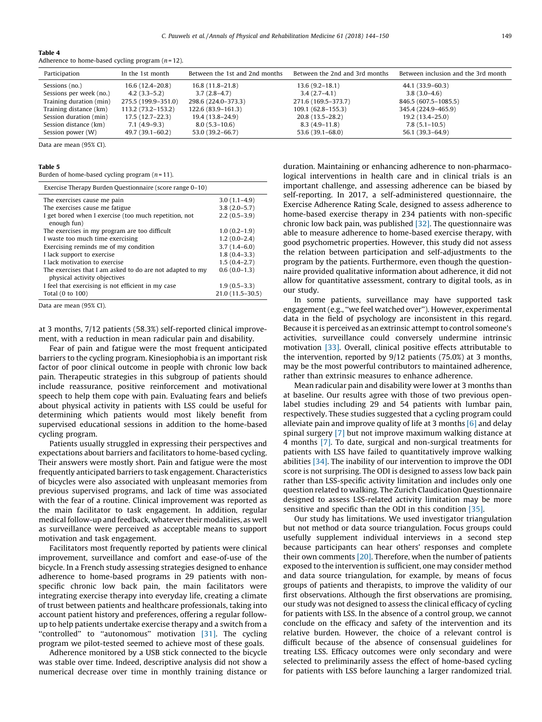| Participation           | In the 1st month    | Between the 1st and 2nd months | Between the 2nd and 3rd months | Between inclusion and the 3rd month |
|-------------------------|---------------------|--------------------------------|--------------------------------|-------------------------------------|
| Sessions (no.)          | $16.6(12.4 - 20.8)$ | $16.8(11.8-21.8)$              | $13.6(9.2 - 18.1)$             | 44.1 (33.9–60.3)                    |
| Sessions per week (no.) | $4.2(3.3-5.2)$      | $3.7(2.8-4.7)$                 | $3.4(2.7-4.1)$                 | $3.8(3.0-4.6)$                      |
| Training duration (min) | 275.5 (199.9–351.0) | 298.6 (224.0-373.3)            | 271.6 (169.5-373.7)            | 846.5 (607.5-1085.5)                |
| Training distance (km)  | 113.2 (73.2–153.2)  | 122.6 (83.9–161.3)             | $109.1(62.8-155.3)$            | 345.4 (224.9-465.9)                 |
| Session duration (min)  | $17.5(12.7-22.3)$   | 19.4 (13.8–24.9)               | $20.8(13.5-28.2)$              | $19.2(13.4 - 25.0)$                 |
| Session distance (km)   | $7.1(4.9-9.3)$      | $8.0(5.3 - 10.6)$              | $8.3(4.9-11.8)$                | $7.8(5.1 - 10.5)$                   |
| Session power (W)       | $49.7(39.1 - 60.2)$ | 53.0 (39.2–66.7)               | $53.6(39.1 - 68.0)$            | 56.1 (39.3-64.9)                    |

<span id="page-5-0"></span>Table 4 Adherence to home-based cycling program  $(n=12)$ .

Data are mean (95% CI).

### Table 5

Burden of home-based cycling program  $(n = 11)$ .

| Exercise Therapy Burden Questionnaire (score range 0–10)                                  |                   |
|-------------------------------------------------------------------------------------------|-------------------|
| The exercises cause me pain                                                               | $3.0(1.1-4.9)$    |
| The exercises cause me fatigue                                                            | $3.8(2.0-5.7)$    |
| I get bored when I exercise (too much repetition, not<br>enough fun)                      | $2.2(0.5-3.9)$    |
| The exercises in my program are too difficult                                             | $1.0(0.2-1.9)$    |
| I waste too much time exercising                                                          | $1.2(0.0-2.4)$    |
| Exercising reminds me of my condition                                                     | $3.7(1.4-6.0)$    |
| I lack support to exercise                                                                | $1.8(0.4-3.3)$    |
| I lack motivation to exercise                                                             | $1.5(0.4-2.7)$    |
| The exercises that I am asked to do are not adapted to my<br>physical activity objectives | $0.6(0.0-1.3)$    |
| I feel that exercising is not efficient in my case                                        | $1.9(0.5-3.3)$    |
| Total (0 to 100)                                                                          | $21.0(11.5-30.5)$ |

Data are mean (95% CI).

at 3 months, 7/12 patients (58.3%) self-reported clinical improvement, with a reduction in mean radicular pain and disability.

Fear of pain and fatigue were the most frequent anticipated barriers to the cycling program. Kinesiophobia is an important risk factor of poor clinical outcome in people with chronic low back pain. Therapeutic strategies in this subgroup of patients should include reassurance, positive reinforcement and motivational speech to help them cope with pain. Evaluating fears and beliefs about physical activity in patients with LSS could be useful for determining which patients would most likely benefit from supervised educational sessions in addition to the home-based cycling program.

Patients usually struggled in expressing their perspectives and expectations about barriers and facilitators to home-based cycling. Their answers were mostly short. Pain and fatigue were the most frequently anticipated barriers to task engagement. Characteristics of bicycles were also associated with unpleasant memories from previous supervised programs, and lack of time was associated with the fear of a routine. Clinical improvement was reported as the main facilitator to task engagement. In addition, regular medical follow-up and feedback, whatever their modalities, as well as surveillance were perceived as acceptable means to support motivation and task engagement.

Facilitators most frequently reported by patients were clinical improvement, surveillance and comfort and ease-of-use of the bicycle. In a French study assessing strategies designed to enhance adherence to home-based programs in 29 patients with nonspecific chronic low back pain, the main facilitators were integrating exercise therapy into everyday life, creating a climate of trust between patients and healthcare professionals, taking into account patient history and preferences, offering a regular followup to help patients undertake exercise therapy and a switch from a "controlled" to "autonomous" motivation [\[31\]](#page-6-0). The cycling program we pilot-tested seemed to achieve most of these goals.

Adherence monitored by a USB stick connected to the bicycle was stable over time. Indeed, descriptive analysis did not show a numerical decrease over time in monthly training distance or duration. Maintaining or enhancing adherence to non-pharmacological interventions in health care and in clinical trials is an important challenge, and assessing adherence can be biased by self-reporting. In 2017, a self-administered questionnaire, the Exercise Adherence Rating Scale, designed to assess adherence to home-based exercise therapy in 234 patients with non-specific chronic low back pain, was published [\[32\]](#page-6-0). The questionnaire was able to measure adherence to home-based exercise therapy, with good psychometric properties. However, this study did not assess the relation between participation and self-adjustments to the program by the patients. Furthermore, even though the questionnaire provided qualitative information about adherence, it did not allow for quantitative assessment, contrary to digital tools, as in our study.

In some patients, surveillance may have supported task engagement (e.g., ''we feel watched over''). However, experimental data in the field of psychology are inconsistent in this regard. Because it is perceived as an extrinsic attempt to control someone's activities, surveillance could conversely undermine intrinsic motivation [\[33\].](#page-6-0) Overall, clinical positive effects attributable to the intervention, reported by 9/12 patients (75.0%) at 3 months, may be the most powerful contributors to maintained adherence, rather than extrinsic measures to enhance adherence.

Mean radicular pain and disability were lower at 3 months than at baseline. Our results agree with those of two previous openlabel studies including 29 and 54 patients with lumbar pain, respectively. These studies suggested that a cycling program could alleviate pain and improve quality of life at 3 months  $[6]$  and delay spinal surgery [\[7\]](#page-6-0) but not improve maximum walking distance at 4 months [\[7\]](#page-6-0). To date, surgical and non-surgical treatments for patients with LSS have failed to quantitatively improve walking abilities [\[34\].](#page-6-0) The inability of our intervention to improve the ODI score is not surprising. The ODI is designed to assess low back pain rather than LSS-specific activity limitation and includes only one question related to walking. The Zurich Claudication Questionnaire designed to assess LSS-related activity limitation may be more sensitive and specific than the ODI in this condition [\[35\].](#page-6-0)

Our study has limitations. We used investigator triangulation but not method or data source triangulation. Focus groups could usefully supplement individual interviews in a second step because participants can hear others' responses and complete their own comments [\[20\]](#page-6-0). Therefore, when the number of patients exposed to the intervention is sufficient, one may consider method and data source triangulation, for example, by means of focus groups of patients and therapists, to improve the validity of our first observations. Although the first observations are promising, our study was not designed to assess the clinical efficacy of cycling for patients with LSS. In the absence of a control group, we cannot conclude on the efficacy and safety of the intervention and its relative burden. However, the choice of a relevant control is difficult because of the absence of consensual guidelines for treating LSS. Efficacy outcomes were only secondary and were selected to preliminarily assess the effect of home-based cycling for patients with LSS before launching a larger randomized trial.